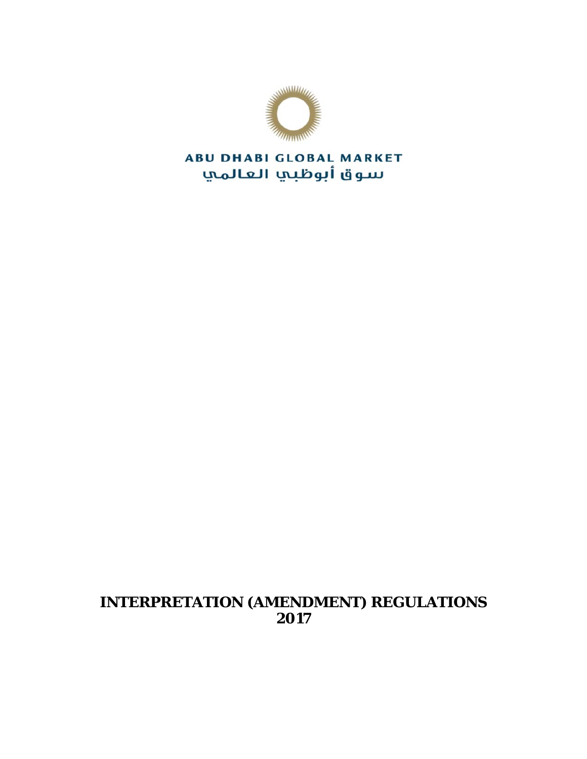

**ABU DHABI GLOBAL MARKET** سوق أبوظبي العالمي

# **INTERPRETATION (AMENDMENT) REGULATIONS 2017**